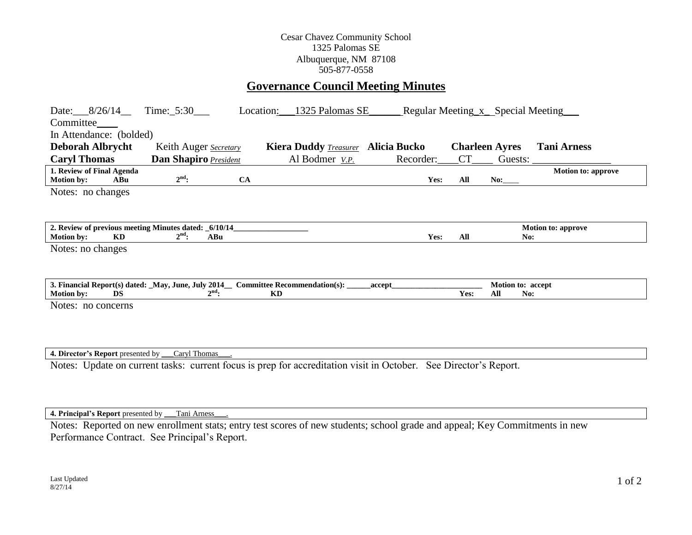## Cesar Chavez Community School 1325 Palomas SE Albuquerque, NM 87108 505-877-0558

# **Governance Council Meeting Minutes**

| Committee_<br>In Attendance: (bolded)                                                                                                                                                       |     | Date: $8/26/14$ Time: 5:30                            |           | Location: | _1325 Palomas SE_                                                  |  |           |           | Regular Meeting x Special Meeting       |                           |
|---------------------------------------------------------------------------------------------------------------------------------------------------------------------------------------------|-----|-------------------------------------------------------|-----------|-----------|--------------------------------------------------------------------|--|-----------|-----------|-----------------------------------------|---------------------------|
| <b>Deborah Albrycht</b><br><b>Caryl Thomas</b>                                                                                                                                              |     | Keith Auger Secretary<br><b>Dan Shapiro President</b> |           |           | Kiera Duddy <b>Treasurer</b> Alicia Bucko<br>Al Bodmer <u>V.P.</u> |  | Recorder: | <b>CT</b> | <b>Charleen Ayres</b><br>Guests: $\_\_$ | <b>Tani Arness</b>        |
| 1. Review of Final Agenda<br><b>Motion by:</b>                                                                                                                                              | ABu | $2nd$ :                                               | <b>CA</b> |           |                                                                    |  | Yes:      | All       | No:                                     | <b>Motion to: approve</b> |
| Notes: no changes                                                                                                                                                                           |     |                                                       |           |           |                                                                    |  |           |           |                                         |                           |
| 2. Review of previous meeting Minutes dated: _6/10/14_<br><b>Motion to: approve</b><br>$2nd$ :<br>KD<br>Yes:<br>All<br><b>Motion by:</b><br>ABu<br>No:                                      |     |                                                       |           |           |                                                                    |  |           |           |                                         |                           |
| Notes: no changes                                                                                                                                                                           |     |                                                       |           |           |                                                                    |  |           |           |                                         |                           |
| 3. Financial Report(s) dated: _May, June, July 2014_ Committee Recommendation(s): _<br>Motion to: accept<br>accept<br>$2nd$ :<br><b>KD</b><br><b>Motion by:</b><br>DS<br>Yes:<br>All<br>No: |     |                                                       |           |           |                                                                    |  |           |           |                                         |                           |
| Notes: no concerns                                                                                                                                                                          |     |                                                       |           |           |                                                                    |  |           |           |                                         |                           |
| 4. Director's Report presented by ___ Caryl Thomas                                                                                                                                          |     |                                                       |           |           |                                                                    |  |           |           |                                         |                           |
| Notes: Update on current tasks: current focus is prep for accreditation visit in October. See Director's Report.                                                                            |     |                                                       |           |           |                                                                    |  |           |           |                                         |                           |

#### **4. Principal's Report** presented by \_\_\_Tani Arness\_\_\_.

Notes: Reported on new enrollment stats; entry test scores of new students; school grade and appeal; Key Commitments in new Performance Contract. See Principal's Report.